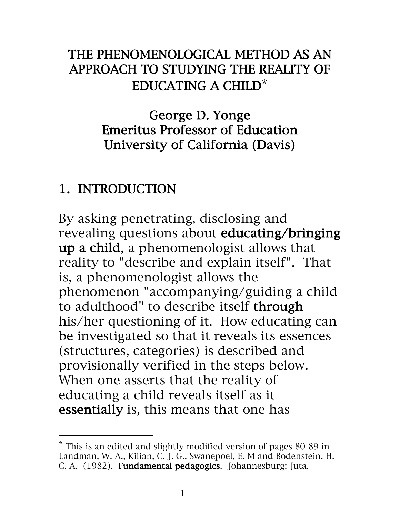## THE PHENOMENOLOGICAL METHOD AS AN APPROACH TO STUDYING THE REALITY OF EDUCATING A CHILD\*

George D. Yonge Emeritus Professor of Education University of California (Davis)

# 1. INTRODUCTION

By asking penetrating, disclosing and revealing questions about educating/bringing up a child, a phenomenologist allows that reality to "describe and explain itself". That is, a phenomenologist allows the phenomenon "accompanying/guiding a child to adulthood" to describe itself through his/her questioning of it. How educating can be investigated so that it reveals its essences (structures, categories) is described and provisionally verified in the steps below. When one asserts that the reality of educating a child reveals itself as it essentially is, this means that one has

<sup>\*</sup> This is an edited and slightly modified version of pages 80-89 in Landman, W. A., Kilian, C. J. G., Swanepoel, E. M and Bodenstein, H. C. A. (1982). Fundamental pedagogics. Johannesburg: Juta.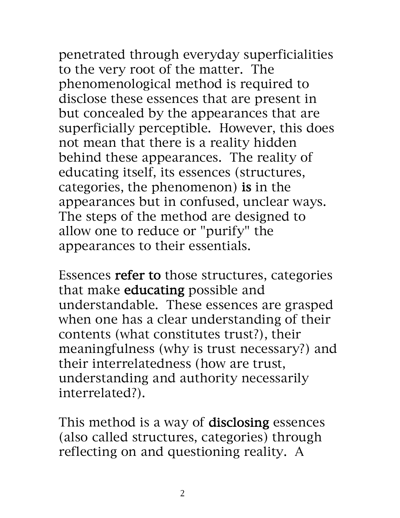penetrated through everyday superficialities to the very root of the matter. The phenomenological method is required to

disclose these essences that are present in but concealed by the appearances that are superficially perceptible. However, this does not mean that there is a reality hidden behind these appearances. The reality of educating itself, its essences (structures, categories, the phenomenon) is in the appearances but in confused, unclear ways. The steps of the method are designed to allow one to reduce or "purify" the appearances to their essentials.

Essences refer to those structures, categories that make educating possible and understandable. These essences are grasped when one has a clear understanding of their contents (what constitutes trust?), their meaningfulness (why is trust necessary?) and their interrelatedness (how are trust, understanding and authority necessarily interrelated?).

This method is a way of disclosing essences (also called structures, categories) through reflecting on and questioning reality. A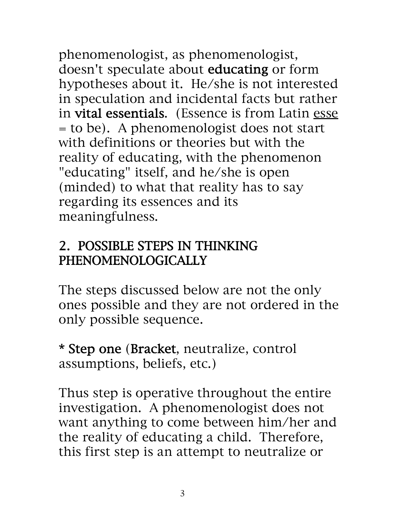phenomenologist, as phenomenologist, doesn't speculate about educating or form hypotheses about it. He/she is not interested in speculation and incidental facts but rather in vital essentials. (Essence is from Latin esse = to be). A phenomenologist does not start with definitions or theories but with the reality of educating, with the phenomenon "educating" itself, and he/she is open (minded) to what that reality has to say regarding its essences and its meaningfulness.

## 2. POSSIBLE STEPS IN THINKING PHENOMENOLOGICALLY

The steps discussed below are not the only ones possible and they are not ordered in the only possible sequence.

\* Step one (Bracket, neutralize, control assumptions, beliefs, etc.)

Thus step is operative throughout the entire investigation. A phenomenologist does not want anything to come between him/her and the reality of educating a child. Therefore, this first step is an attempt to neutralize or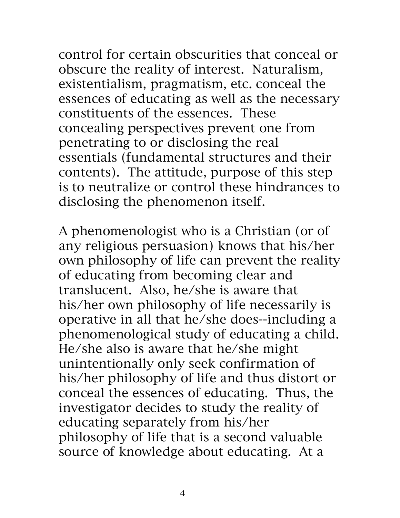control for certain obscurities that conceal or obscure the reality of interest. Naturalism, existentialism, pragmatism, etc. conceal the essences of educating as well as the necessary constituents of the essences. These concealing perspectives prevent one from penetrating to or disclosing the real essentials (fundamental structures and their

contents). The attitude, purpose of this step is to neutralize or control these hindrances to disclosing the phenomenon itself.

A phenomenologist who is a Christian (or of any religious persuasion) knows that his/her own philosophy of life can prevent the reality of educating from becoming clear and translucent. Also, he/she is aware that his/her own philosophy of life necessarily is operative in all that he/she does--including a phenomenological study of educating a child. He/she also is aware that he/she might unintentionally only seek confirmation of his/her philosophy of life and thus distort or conceal the essences of educating. Thus, the investigator decides to study the reality of educating separately from his/her philosophy of life that is a second valuable source of knowledge about educating. At a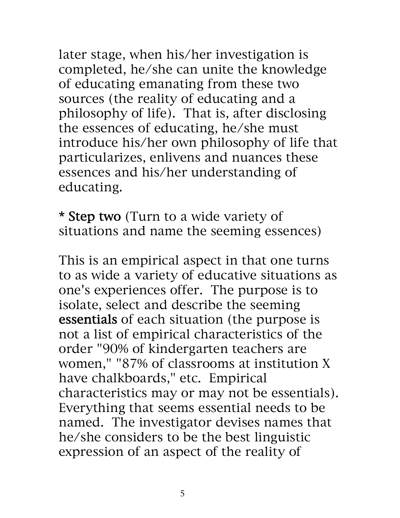later stage, when his/her investigation is completed, he/she can unite the knowledge of educating emanating from these two sources (the reality of educating and a philosophy of life). That is, after disclosing the essences of educating, he/she must introduce his/her own philosophy of life that particularizes, enlivens and nuances these essences and his/her understanding of educating.

\* Step two (Turn to a wide variety of situations and name the seeming essences)

This is an empirical aspect in that one turns to as wide a variety of educative situations as one's experiences offer. The purpose is to isolate, select and describe the seeming essentials of each situation (the purpose is not a list of empirical characteristics of the order "90% of kindergarten teachers are women," "87% of classrooms at institution X have chalkboards," etc. Empirical characteristics may or may not be essentials). Everything that seems essential needs to be named. The investigator devises names that he/she considers to be the best linguistic expression of an aspect of the reality of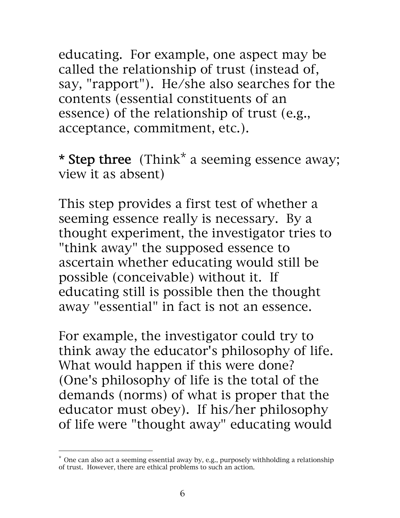educating. For example, one aspect may be called the relationship of trust (instead of, say, "rapport"). He/she also searches for the contents (essential constituents of an essence) of the relationship of trust (e.g., acceptance, commitment, etc.).

\* Step three (Think<sup>\*</sup> a seeming essence away; view it as absent)

This step provides a first test of whether a seeming essence really is necessary. By a thought experiment, the investigator tries to "think away" the supposed essence to ascertain whether educating would still be possible (conceivable) without it. If educating still is possible then the thought away "essential" in fact is not an essence.

For example, the investigator could try to think away the educator's philosophy of life. What would happen if this were done? (One's philosophy of life is the total of the demands (norms) of what is proper that the educator must obey). If his/her philosophy of life were "thought away" educating would

<sup>\*</sup> One can also act a seeming essential away by, e.g., purposely withholding a relationship of trust. However, there are ethical problems to such an action.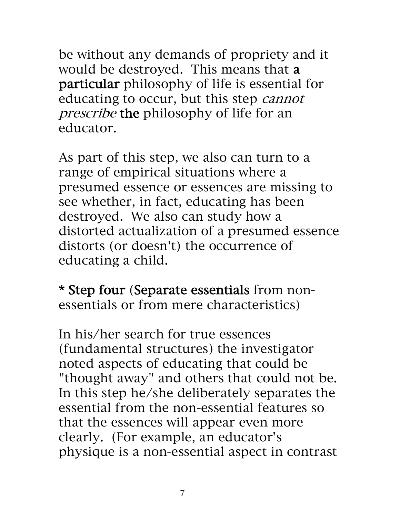be without any demands of propriety and it would be destroyed. This means that a particular philosophy of life is essential for educating to occur, but this step cannot prescribe the philosophy of life for an educator.

As part of this step, we also can turn to a range of empirical situations where a presumed essence or essences are missing to see whether, in fact, educating has been destroyed. We also can study how a distorted actualization of a presumed essence distorts (or doesn't) the occurrence of educating a child.

\* Step four (Separate essentials from nonessentials or from mere characteristics)

In his/her search for true essences (fundamental structures) the investigator noted aspects of educating that could be "thought away" and others that could not be. In this step he/she deliberately separates the essential from the non-essential features so that the essences will appear even more clearly. (For example, an educator's physique is a non-essential aspect in contrast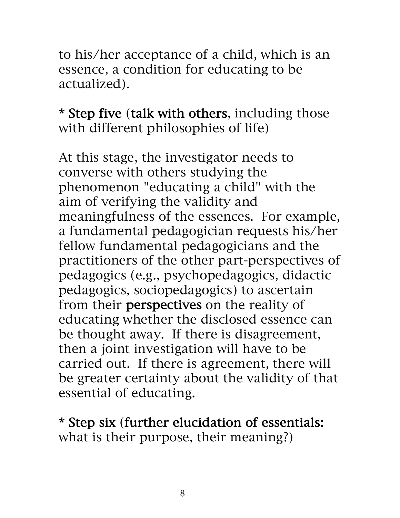to his/her acceptance of a child, which is an essence, a condition for educating to be actualized).

\* Step five (talk with others, including those with different philosophies of life)

At this stage, the investigator needs to converse with others studying the phenomenon "educating a child" with the aim of verifying the validity and meaningfulness of the essences. For example, a fundamental pedagogician requests his/her fellow fundamental pedagogicians and the practitioners of the other part-perspectives of pedagogics (e.g., psychopedagogics, didactic pedagogics, sociopedagogics) to ascertain from their perspectives on the reality of educating whether the disclosed essence can be thought away. If there is disagreement, then a joint investigation will have to be carried out. If there is agreement, there will be greater certainty about the validity of that essential of educating.

\* Step six (further elucidation of essentials: what is their purpose, their meaning?)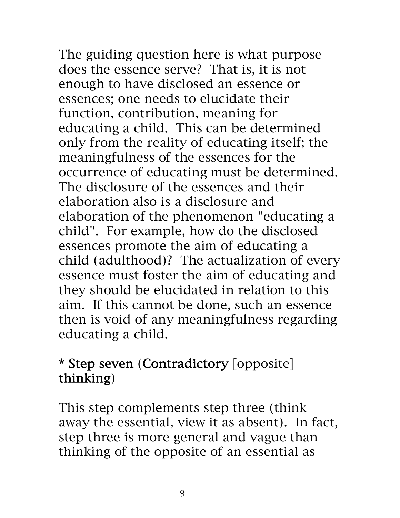The guiding question here is what purpose does the essence serve? That is, it is not enough to have disclosed an essence or essences; one needs to elucidate their function, contribution, meaning for educating a child. This can be determined only from the reality of educating itself; the meaningfulness of the essences for the occurrence of educating must be determined. The disclosure of the essences and their

elaboration also is a disclosure and elaboration of the phenomenon "educating a child". For example, how do the disclosed essences promote the aim of educating a child (adulthood)? The actualization of every essence must foster the aim of educating and they should be elucidated in relation to this aim. If this cannot be done, such an essence then is void of any meaningfulness regarding educating a child.

## \* Step seven (Contradictory [opposite] thinking)

This step complements step three (think away the essential, view it as absent). In fact, step three is more general and vague than thinking of the opposite of an essential as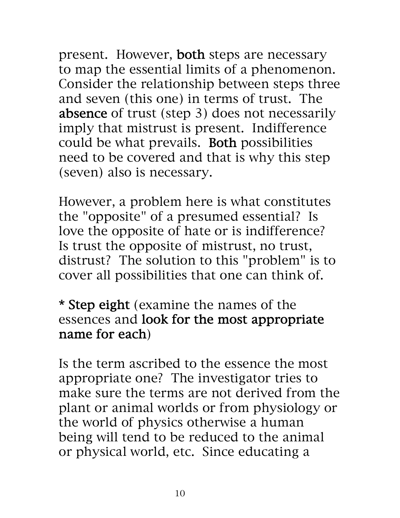present. However, both steps are necessary to map the essential limits of a phenomenon. Consider the relationship between steps three and seven (this one) in terms of trust. The absence of trust (step 3) does not necessarily imply that mistrust is present. Indifference could be what prevails. Both possibilities need to be covered and that is why this step (seven) also is necessary.

However, a problem here is what constitutes the "opposite" of a presumed essential? Is love the opposite of hate or is indifference? Is trust the opposite of mistrust, no trust, distrust? The solution to this "problem" is to cover all possibilities that one can think of.

\* Step eight (examine the names of the essences and look for the most appropriate name for each)

Is the term ascribed to the essence the most appropriate one? The investigator tries to make sure the terms are not derived from the plant or animal worlds or from physiology or the world of physics otherwise a human being will tend to be reduced to the animal or physical world, etc. Since educating a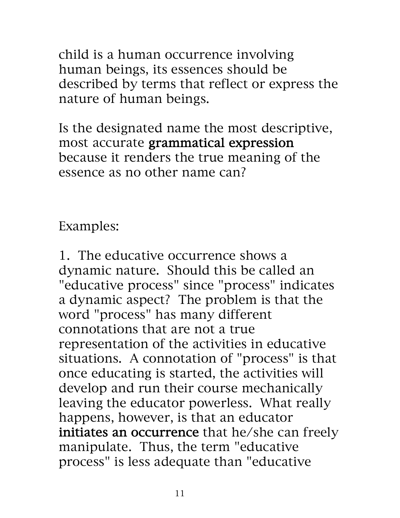child is a human occurrence involving human beings, its essences should be described by terms that reflect or express the nature of human beings.

Is the designated name the most descriptive, most accurate grammatical expression because it renders the true meaning of the essence as no other name can?

Examples:

1. The educative occurrence shows a dynamic nature. Should this be called an "educative process" since "process" indicates a dynamic aspect? The problem is that the word "process" has many different connotations that are not a true representation of the activities in educative situations. A connotation of "process" is that once educating is started, the activities will develop and run their course mechanically leaving the educator powerless. What really happens, however, is that an educator initiates an occurrence that he/she can freely manipulate. Thus, the term "educative process" is less adequate than "educative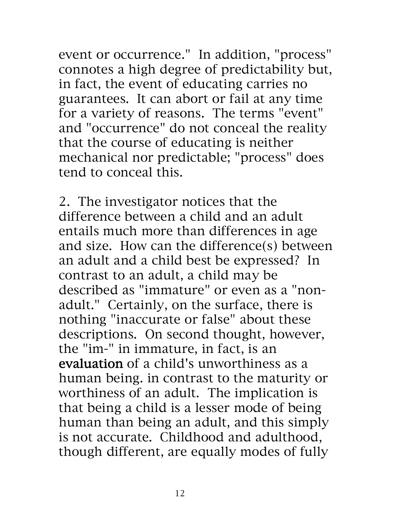event or occurrence." In addition, "process" connotes a high degree of predictability but, in fact, the event of educating carries no guarantees. It can abort or fail at any time for a variety of reasons. The terms "event" and "occurrence" do not conceal the reality that the course of educating is neither mechanical nor predictable; "process" does tend to conceal this.

2. The investigator notices that the difference between a child and an adult entails much more than differences in age and size. How can the difference(s) between an adult and a child best be expressed? In contrast to an adult, a child may be described as "immature" or even as a "nonadult." Certainly, on the surface, there is nothing "inaccurate or false" about these descriptions. On second thought, however, the "im-" in immature, in fact, is an evaluation of a child's unworthiness as a human being. in contrast to the maturity or worthiness of an adult. The implication is that being a child is a lesser mode of being human than being an adult, and this simply is not accurate. Childhood and adulthood, though different, are equally modes of fully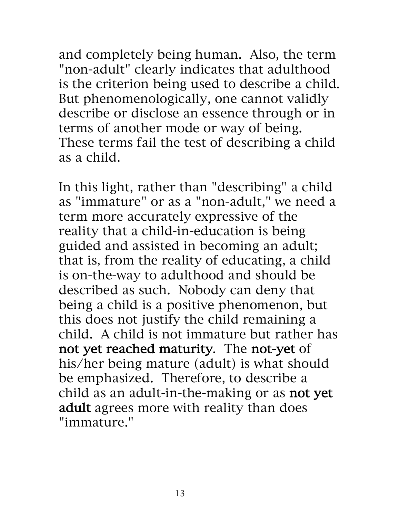and completely being human. Also, the term "non-adult" clearly indicates that adulthood is the criterion being used to describe a child. But phenomenologically, one cannot validly describe or disclose an essence through or in terms of another mode or way of being. These terms fail the test of describing a child as a child.

In this light, rather than "describing" a child as "immature" or as a "non-adult," we need a term more accurately expressive of the reality that a child-in-education is being guided and assisted in becoming an adult; that is, from the reality of educating, a child is on-the-way to adulthood and should be described as such. Nobody can deny that being a child is a positive phenomenon, but this does not justify the child remaining a child. A child is not immature but rather has not yet reached maturity. The not-yet of his/her being mature (adult) is what should be emphasized. Therefore, to describe a child as an adult-in-the-making or as not yet adult agrees more with reality than does "immature."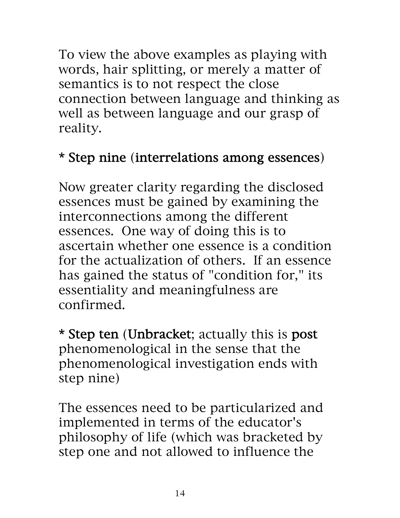To view the above examples as playing with words, hair splitting, or merely a matter of semantics is to not respect the close connection between language and thinking as well as between language and our grasp of reality.

# \* Step nine (interrelations among essences)

Now greater clarity regarding the disclosed essences must be gained by examining the interconnections among the different essences. One way of doing this is to ascertain whether one essence is a condition for the actualization of others. If an essence has gained the status of "condition for," its essentiality and meaningfulness are confirmed.

\* Step ten (Unbracket; actually this is post phenomenological in the sense that the phenomenological investigation ends with step nine)

The essences need to be particularized and implemented in terms of the educator's philosophy of life (which was bracketed by step one and not allowed to influence the